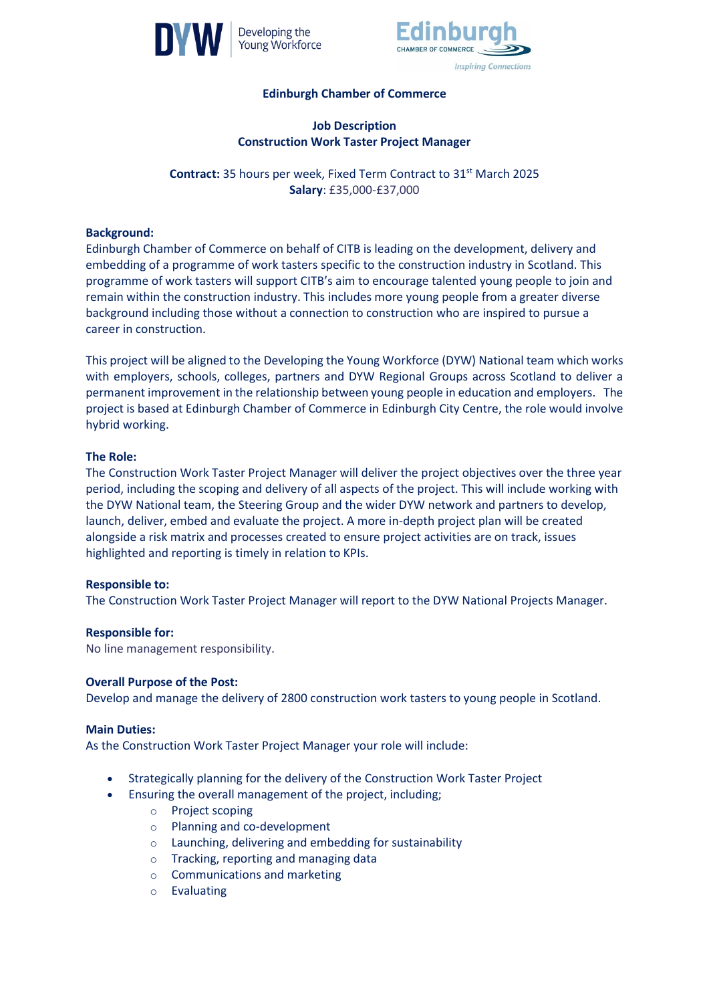



# **Edinburgh Chamber of Commerce**

## **Job Description Construction Work Taster Project Manager**

**Contract:** 35 hours per week, Fixed Term Contract to 31<sup>st</sup> March 2025 **Salary**: £35,000-£37,000

### **Background:**

Edinburgh Chamber of Commerce on behalf of CITB is leading on the development, delivery and embedding of a programme of work tasters specific to the construction industry in Scotland. This programme of work tasters will support CITB's aim to encourage talented young people to join and remain within the construction industry. This includes more young people from a greater diverse background including those without a connection to construction who are inspired to pursue a career in construction.

This project will be aligned to the Developing the Young Workforce (DYW) National team which works with employers, schools, colleges, partners and DYW Regional Groups across Scotland to deliver a permanent improvement in the relationship between young people in education and employers. The project is based at Edinburgh Chamber of Commerce in Edinburgh City Centre, the role would involve hybrid working.

## **The Role:**

The Construction Work Taster Project Manager will deliver the project objectives over the three year period, including the scoping and delivery of all aspects of the project. This will include working with the DYW National team, the Steering Group and the wider DYW network and partners to develop, launch, deliver, embed and evaluate the project. A more in-depth project plan will be created alongside a risk matrix and processes created to ensure project activities are on track, issues highlighted and reporting is timely in relation to KPIs.

#### **Responsible to:**

The Construction Work Taster Project Manager will report to the DYW National Projects Manager.

#### **Responsible for:**

No line management responsibility.

#### **Overall Purpose of the Post:**

Develop and manage the delivery of 2800 construction work tasters to young people in Scotland.

#### **Main Duties:**

As the Construction Work Taster Project Manager your role will include:

- Strategically planning for the delivery of the Construction Work Taster Project
- Ensuring the overall management of the project, including;
	- o Project scoping
	- o Planning and co-development
	- o Launching, delivering and embedding for sustainability
	- o Tracking, reporting and managing data
	- o Communications and marketing
	- o Evaluating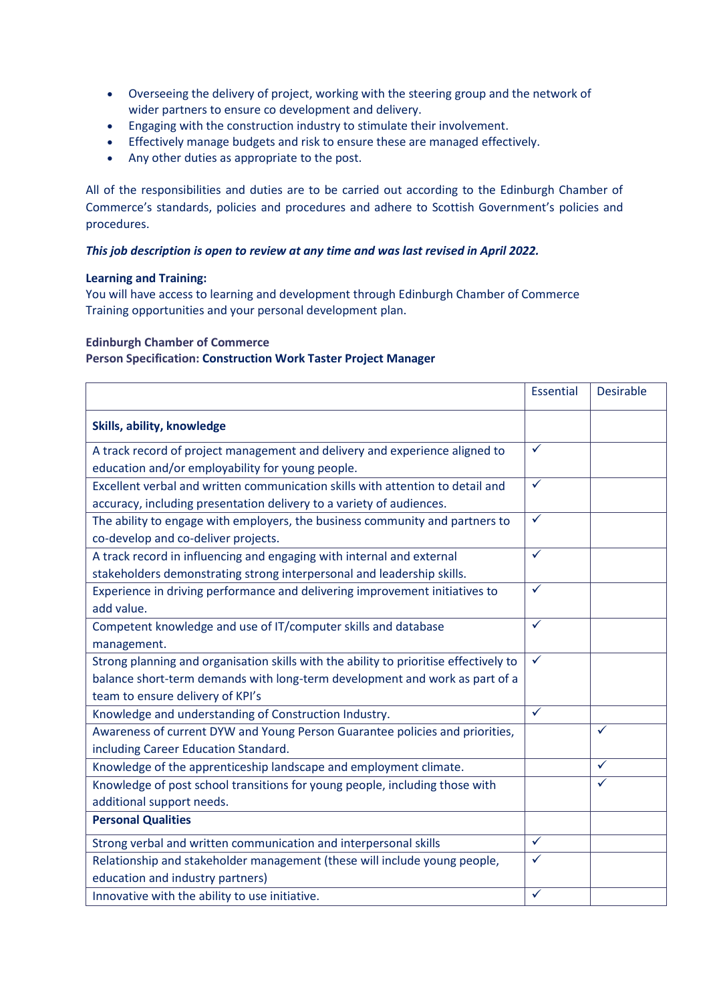- Overseeing the delivery of project, working with the steering group and the network of wider partners to ensure co development and delivery.
- Engaging with the construction industry to stimulate their involvement.
- Effectively manage budgets and risk to ensure these are managed effectively.
- Any other duties as appropriate to the post.

All of the responsibilities and duties are to be carried out according to the Edinburgh Chamber of Commerce's standards, policies and procedures and adhere to Scottish Government's policies and procedures.

## *This job description is open to review at any time and was last revised in April 2022.*

#### **Learning and Training:**

You will have access to learning and development through Edinburgh Chamber of Commerce Training opportunities and your personal development plan.

## **Edinburgh Chamber of Commerce**

## **Person Specification: Construction Work Taster Project Manager**

|                                                                                       | <b>Essential</b> | <b>Desirable</b> |
|---------------------------------------------------------------------------------------|------------------|------------------|
| Skills, ability, knowledge                                                            |                  |                  |
| A track record of project management and delivery and experience aligned to           | $\checkmark$     |                  |
| education and/or employability for young people.                                      |                  |                  |
| Excellent verbal and written communication skills with attention to detail and        | $\checkmark$     |                  |
| accuracy, including presentation delivery to a variety of audiences.                  |                  |                  |
| The ability to engage with employers, the business community and partners to          | ✓                |                  |
| co-develop and co-deliver projects.                                                   |                  |                  |
| A track record in influencing and engaging with internal and external                 | $\checkmark$     |                  |
| stakeholders demonstrating strong interpersonal and leadership skills.                |                  |                  |
| Experience in driving performance and delivering improvement initiatives to           | $\checkmark$     |                  |
| add value.                                                                            |                  |                  |
| Competent knowledge and use of IT/computer skills and database                        | ✓                |                  |
| management.                                                                           |                  |                  |
| Strong planning and organisation skills with the ability to prioritise effectively to | $\checkmark$     |                  |
| balance short-term demands with long-term development and work as part of a           |                  |                  |
| team to ensure delivery of KPI's                                                      |                  |                  |
| Knowledge and understanding of Construction Industry.                                 | $\checkmark$     |                  |
| Awareness of current DYW and Young Person Guarantee policies and priorities,          |                  | $\checkmark$     |
| including Career Education Standard.                                                  |                  |                  |
| Knowledge of the apprenticeship landscape and employment climate.                     |                  | ✓                |
| Knowledge of post school transitions for young people, including those with           |                  | ✓                |
| additional support needs.                                                             |                  |                  |
| <b>Personal Qualities</b>                                                             |                  |                  |
| Strong verbal and written communication and interpersonal skills                      | $\checkmark$     |                  |
| Relationship and stakeholder management (these will include young people,             | ✓                |                  |
| education and industry partners)                                                      |                  |                  |
| Innovative with the ability to use initiative.                                        | ✓                |                  |